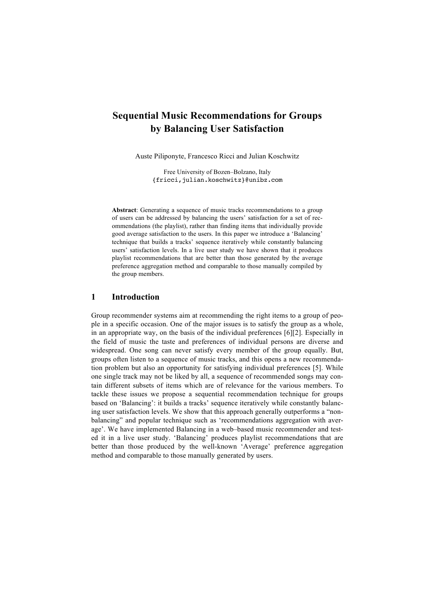# **Sequential Music Recommendations for Groups by Balancing User Satisfaction**

Auste Piliponyte, Francesco Ricci and Julian Koschwitz

Free University of Bozen–Bolzano, Italy {fricci,julian.koschwitz}@unibz.com

**Abstract**: Generating a sequence of music tracks recommendations to a group of users can be addressed by balancing the users' satisfaction for a set of recommendations (the playlist), rather than finding items that individually provide good average satisfaction to the users. In this paper we introduce a 'Balancing' technique that builds a tracks' sequence iteratively while constantly balancing users' satisfaction levels. In a live user study we have shown that it produces playlist recommendations that are better than those generated by the average preference aggregation method and comparable to those manually compiled by the group members.

#### **1 Introduction**

Group recommender systems aim at recommending the right items to a group of people in a specific occasion. One of the major issues is to satisfy the group as a whole, in an appropriate way, on the basis of the individual preferences [6][2]. Especially in the field of music the taste and preferences of individual persons are diverse and widespread. One song can never satisfy every member of the group equally. But, groups often listen to a sequence of music tracks, and this opens a new recommendation problem but also an opportunity for satisfying individual preferences [5]. While one single track may not be liked by all, a sequence of recommended songs may contain different subsets of items which are of relevance for the various members. To tackle these issues we propose a sequential recommendation technique for groups based on 'Balancing': it builds a tracks' sequence iteratively while constantly balancing user satisfaction levels. We show that this approach generally outperforms a "nonbalancing" and popular technique such as 'recommendations aggregation with average'. We have implemented Balancing in a web–based music recommender and tested it in a live user study. 'Balancing' produces playlist recommendations that are better than those produced by the well-known 'Average' preference aggregation method and comparable to those manually generated by users.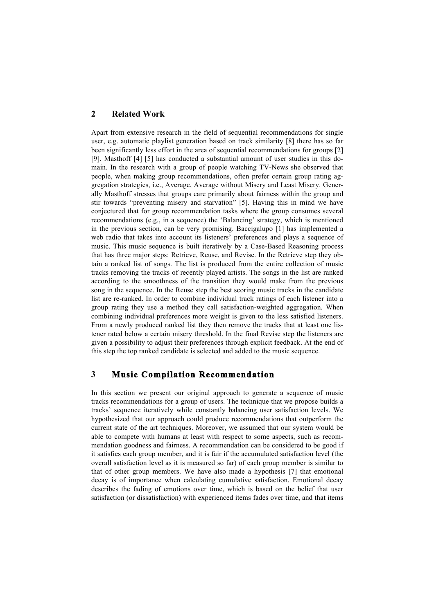## **2 Related Work**

Apart from extensive research in the field of sequential recommendations for single user, e.g. automatic playlist generation based on track similarity [8] there has so far been significantly less effort in the area of sequential recommendations for groups [2] [9]. Masthoff [4] [5] has conducted a substantial amount of user studies in this domain. In the research with a group of people watching TV-News she observed that people, when making group recommendations, often prefer certain group rating aggregation strategies, i.e., Average, Average without Misery and Least Misery. Generally Masthoff stresses that groups care primarily about fairness within the group and stir towards "preventing misery and starvation" [5]. Having this in mind we have conjectured that for group recommendation tasks where the group consumes several recommendations (e.g., in a sequence) the 'Balancing' strategy, which is mentioned in the previous section, can be very promising. Baccigalupo [1] has implemented a web radio that takes into account its listeners' preferences and plays a sequence of music. This music sequence is built iteratively by a Case-Based Reasoning process that has three major steps: Retrieve, Reuse, and Revise. In the Retrieve step they obtain a ranked list of songs. The list is produced from the entire collection of music tracks removing the tracks of recently played artists. The songs in the list are ranked according to the smoothness of the transition they would make from the previous song in the sequence. In the Reuse step the best scoring music tracks in the candidate list are re-ranked. In order to combine individual track ratings of each listener into a group rating they use a method they call satisfaction-weighted aggregation. When combining individual preferences more weight is given to the less satisfied listeners. From a newly produced ranked list they then remove the tracks that at least one listener rated below a certain misery threshold. In the final Revise step the listeners are given a possibility to adjust their preferences through explicit feedback. At the end of this step the top ranked candidate is selected and added to the music sequence.

## **3 Music Compilation Recommendation**

In this section we present our original approach to generate a sequence of music tracks recommendations for a group of users. The technique that we propose builds a tracks' sequence iteratively while constantly balancing user satisfaction levels. We hypothesized that our approach could produce recommendations that outperform the current state of the art techniques. Moreover, we assumed that our system would be able to compete with humans at least with respect to some aspects, such as recommendation goodness and fairness. A recommendation can be considered to be good if it satisfies each group member, and it is fair if the accumulated satisfaction level (the overall satisfaction level as it is measured so far) of each group member is similar to that of other group members. We have also made a hypothesis [7] that emotional decay is of importance when calculating cumulative satisfaction. Emotional decay describes the fading of emotions over time, which is based on the belief that user satisfaction (or dissatisfaction) with experienced items fades over time, and that items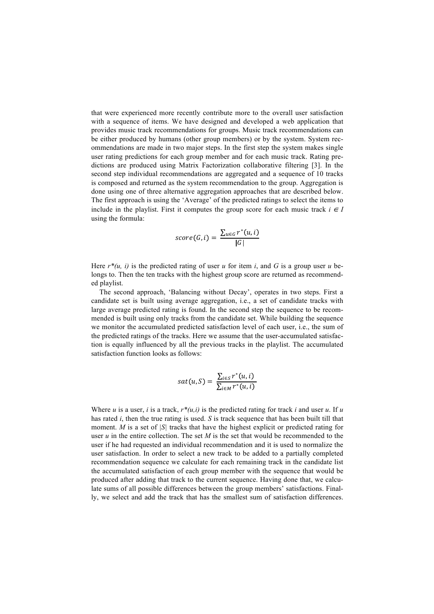that were experienced more recently contribute more to the overall user satisfaction with a sequence of items. We have designed and developed a web application that provides music track recommendations for groups. Music track recommendations can be either produced by humans (other group members) or by the system. System recommendations are made in two major steps. In the first step the system makes single user rating predictions for each group member and for each music track. Rating predictions are produced using Matrix Factorization collaborative filtering [3]. In the second step individual recommendations are aggregated and a sequence of 10 tracks is composed and returned as the system recommendation to the group. Aggregation is done using one of three alternative aggregation approaches that are described below. The first approach is using the 'Average' of the predicted ratings to select the items to include in the playlist. First it computes the group score for each music track  $i \in I$ using the formula:

$$
score(G, i) = \frac{\sum_{u \in G} r^*(u, i)}{|G|}
$$

Here  $r^*(u, i)$  is the predicted rating of user *u* for item *i*, and *G* is a group user *u* belongs to. Then the ten tracks with the highest group score are returned as recommended playlist.

The second approach, 'Balancing without Decay', operates in two steps. First a candidate set is built using average aggregation, i.e., a set of candidate tracks with large average predicted rating is found. In the second step the sequence to be recommended is built using only tracks from the candidate set. While building the sequence we monitor the accumulated predicted satisfaction level of each user, i.e., the sum of the predicted ratings of the tracks. Here we assume that the user-accumulated satisfaction is equally influenced by all the previous tracks in the playlist. The accumulated satisfaction function looks as follows:

$$
sat(u, S) = \frac{\sum_{i \in S} r^*(u, i)}{\sum_{i \in M} r^*(u, i)}
$$

Where  $u$  is a user,  $i$  is a track,  $r^*(u,i)$  is the predicted rating for track  $i$  and user  $u$ . If  $u$ has rated *i*, then the true rating is used. *S* is track sequence that has been built till that moment. *M* is a set of *|S|* tracks that have the highest explicit or predicted rating for user *u* in the entire collection. The set *M* is the set that would be recommended to the user if he had requested an individual recommendation and it is used to normalize the user satisfaction. In order to select a new track to be added to a partially completed recommendation sequence we calculate for each remaining track in the candidate list the accumulated satisfaction of each group member with the sequence that would be produced after adding that track to the current sequence. Having done that, we calculate sums of all possible differences between the group members' satisfactions. Finally, we select and add the track that has the smallest sum of satisfaction differences.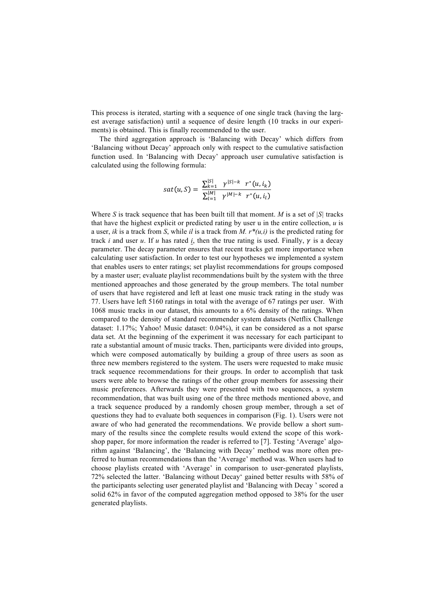This process is iterated, starting with a sequence of one single track (having the largest average satisfaction) until a sequence of desire length (10 tracks in our experiments) is obtained. This is finally recommended to the user.

The third aggregation approach is 'Balancing with Decay' which differs from 'Balancing without Decay' approach only with respect to the cumulative satisfaction function used. In 'Balancing with Decay' approach user cumulative satisfaction is calculated using the following formula:

$$
sat(u, S) = \frac{\sum_{k=1}^{|S|} \gamma^{|S|-k} r^*(u, i_k)}{\sum_{l=1}^{|M|} \gamma^{|M|-k} r^*(u, i_l)}
$$

Where *S* is track sequence that has been built till that moment. *M* is a set of *|S|* tracks that have the highest explicit or predicted rating by user u in the entire collection, *u* is a user, *ik* is a track from *S*, while *il* is a track from *M*.  $r^*(u,i)$  is the predicted rating for track *i* and user *u*. If *u* has rated *i*, then the true rating is used. Finally,  $\gamma$  is a decay parameter. The decay parameter ensures that recent tracks get more importance when calculating user satisfaction. In order to test our hypotheses we implemented a system that enables users to enter ratings; set playlist recommendations for groups composed by a master user; evaluate playlist recommendations built by the system with the three mentioned approaches and those generated by the group members. The total number of users that have registered and left at least one music track rating in the study was 77. Users have left 5160 ratings in total with the average of 67 ratings per user. With 1068 music tracks in our dataset, this amounts to a 6% density of the ratings. When compared to the density of standard recommender system datasets (Netflix Challenge dataset: 1.17%; Yahoo! Music dataset: 0.04%), it can be considered as a not sparse data set. At the beginning of the experiment it was necessary for each participant to rate a substantial amount of music tracks. Then, participants were divided into groups, which were composed automatically by building a group of three users as soon as three new members registered to the system. The users were requested to make music track sequence recommendations for their groups. In order to accomplish that task users were able to browse the ratings of the other group members for assessing their music preferences. Afterwards they were presented with two sequences, a system recommendation, that was built using one of the three methods mentioned above, and a track sequence produced by a randomly chosen group member, through a set of questions they had to evaluate both sequences in comparison (Fig. 1). Users were not aware of who had generated the recommendations. We provide bellow a short summary of the results since the complete results would extend the scope of this workshop paper, for more information the reader is referred to [7]. Testing 'Average' algorithm against 'Balancing', the 'Balancing with Decay' method was more often preferred to human recommendations than the 'Average' method was. When users had to choose playlists created with 'Average' in comparison to user-generated playlists, 72% selected the latter. 'Balancing without Decay' gained better results with 58% of the participants selecting user generated playlist and 'Balancing with Decay ' scored a solid 62% in favor of the computed aggregation method opposed to 38% for the user generated playlists.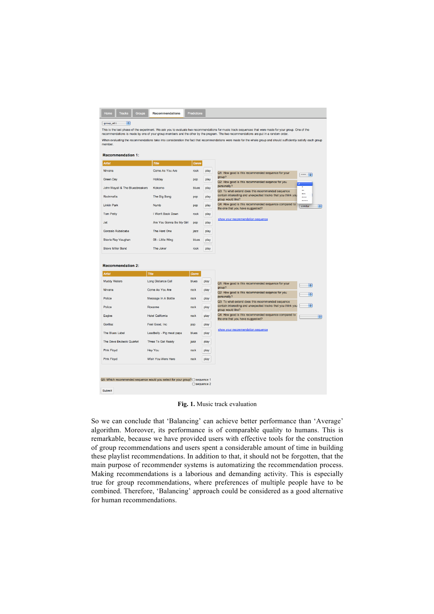| Home<br><b>Tracks</b><br>Groups           | <b>Recommendations</b>                                                       | Predictions |              |                                                                                                                                                                                                                                                                                                             |
|-------------------------------------------|------------------------------------------------------------------------------|-------------|--------------|-------------------------------------------------------------------------------------------------------------------------------------------------------------------------------------------------------------------------------------------------------------------------------------------------------------|
| group_a61<br>e.                           |                                                                              |             |              |                                                                                                                                                                                                                                                                                                             |
|                                           |                                                                              |             |              | This is the last phase of the experiment. We ask you to evaluate two recommendations for music track sequences that were made for your group. One of the                                                                                                                                                    |
|                                           |                                                                              |             |              | recommendations is made by one of your group members and the other by the program. The two recommendations are put in a random order.<br>When evaluating the recommendations take into consideration the fact that recommendations were made for the whole group and should sufficiently satisfy each group |
| member.                                   |                                                                              |             |              |                                                                                                                                                                                                                                                                                                             |
| <b>Recommendation 1:</b>                  |                                                                              |             |              |                                                                                                                                                                                                                                                                                                             |
| <b>Artist</b>                             | Title                                                                        | Genre       |              |                                                                                                                                                                                                                                                                                                             |
| Nirvana                                   | Come As You Are                                                              | rock        | play         | Q1: How good is this recommended sequence for your<br>$\frac{1}{2}$                                                                                                                                                                                                                                         |
| <b>Green Day</b>                          | Holiday                                                                      | pop         | play         | group?<br>Q2: How good is this recommended segence for you                                                                                                                                                                                                                                                  |
| John Mayall & The Bluesbreakers           | Kokomo                                                                       | blues       | play         | personally?<br>è.<br>Q3: To what extend does this recommended sequence                                                                                                                                                                                                                                      |
| Rockmafia                                 | The Big Bang                                                                 | pop         | play         | $\cdots$<br>contain interesting and unexpected tracks that you think you<br>****<br>group would like?<br>1.1.1.1                                                                                                                                                                                            |
| <b>Linkin Park</b>                        | Numb                                                                         | pop         | play         | Q4: How good is this recommended sequence compared to<br>similar<br>Ð<br>the one that you have suggested?                                                                                                                                                                                                   |
| <b>Tom Petty</b>                          | I Won't Back Down                                                            | rock        | play         |                                                                                                                                                                                                                                                                                                             |
| Jet                                       | Are You Gonna Be My Girl                                                     | pop         | play         | show your recommendation sequence                                                                                                                                                                                                                                                                           |
| Gonzalo Rubalcaba                         | The Hard One                                                                 | jazz        | play         |                                                                                                                                                                                                                                                                                                             |
| Stevie Ray Vaughan                        | 08 - Little Wing                                                             | blues       | play         |                                                                                                                                                                                                                                                                                                             |
| <b>Steve Miller Band</b>                  | The Joker                                                                    | rock        | play         |                                                                                                                                                                                                                                                                                                             |
| <b>Recommendation 2:</b><br><b>Artist</b> | Title                                                                        | Genre       |              |                                                                                                                                                                                                                                                                                                             |
| <b>Muddy Waters</b>                       | <b>Long Distance Call</b>                                                    | blues       | play         | Q1: How good is this recommended sequence for your<br>H.                                                                                                                                                                                                                                                    |
| Nirvana                                   | Come As You Are                                                              | rock        | play         | group?<br>Q2: How good is this recommended segence for you<br><b>PA</b>                                                                                                                                                                                                                                     |
| Police                                    | Message In A Bottle                                                          | rock        | play         | personally?<br>Q3: To what extend does this recommended sequence                                                                                                                                                                                                                                            |
| Police                                    | Roxanne                                                                      | rock        | play         | ÷<br>contain interesting and unexpected tracks that you think you<br>group would like?                                                                                                                                                                                                                      |
| Eagles                                    | <b>Hotel California</b>                                                      | rock        | play         | Q4: How good is this recommended sequence compared to<br>F<br>the one that you have suggested?                                                                                                                                                                                                              |
| Gorillaz                                  | Feel Good, Inc.                                                              | DOD         | play         |                                                                                                                                                                                                                                                                                                             |
| The Blues Label                           | Leadbelly - Pig meat papa                                                    | blues       | play         | show your recommendation sequence                                                                                                                                                                                                                                                                           |
| The Dave Brubeck Quartet                  | Three To Get Ready                                                           | jazz        | play         |                                                                                                                                                                                                                                                                                                             |
|                                           | <b>Hey You</b>                                                               | rock        | play         |                                                                                                                                                                                                                                                                                                             |
|                                           | Wish You Were Here                                                           | rock        | play         |                                                                                                                                                                                                                                                                                                             |
| Pink Floyd<br><b>Pink Floyd</b>           |                                                                              |             |              |                                                                                                                                                                                                                                                                                                             |
|                                           | Q5: Which recommended sequence would you select for your group? O sequence 1 |             |              |                                                                                                                                                                                                                                                                                                             |
|                                           |                                                                              |             | ○ sequence 2 |                                                                                                                                                                                                                                                                                                             |
| Submit                                    |                                                                              |             |              |                                                                                                                                                                                                                                                                                                             |

**Fig. 1.** Music track evaluation

So we can conclude that 'Balancing' can achieve better performance than 'Average' algorithm. Moreover, its performance is of comparable quality to humans. This is remarkable, because we have provided users with effective tools for the construction of group recommendations and users spent a considerable amount of time in building these playlist recommendations. In addition to that, it should not be forgotten, that the main purpose of recommender systems is automatizing the recommendation process. Making recommendations is a laborious and demanding activity. This is especially true for group recommendations, where preferences of multiple people have to be combined. Therefore, 'Balancing' approach could be considered as a good alternative for human recommendations.